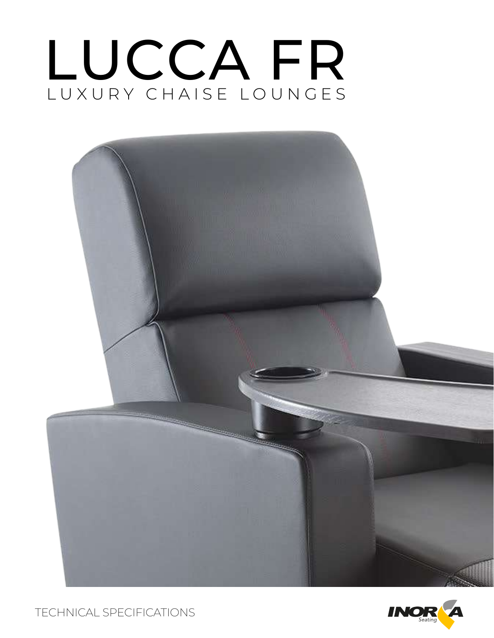# LUXURY CHAISE LOUNGES LUCCA FR



TECHNICAL SPECIFICATIONS

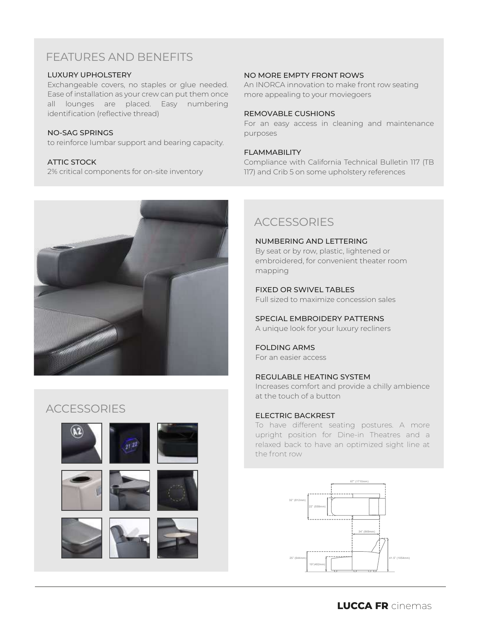# FEATURES AND BENEFITS

#### LUXURY UPHOLSTERY

Exchangeable covers, no staples or glue needed. Ease of installation as your crew can put them once all lounges are placed. Easy numbering identification (reflective thread)

#### NO-SAG SPRINGS

to reinforce lumbar support and bearing capacity.

#### ATTIC STOCK

2% critical components for on-site inventory



#### NO MORE EMPTY FRONT ROWS

An INORCA innovation to make front row seating more appealing to your moviegoers

#### REMOVABLE CUSHIONS

For an easy access in cleaning and maintenance purposes

#### FLAMMABILITY

Compliance with California Technical Bulletin 117 (TB 117) and Crib 5 on some upholstery references

# **ACCESSORIES**

NUMBERING AND LETTERING By seat or by row, plastic, lightened or embroidered, for convenient theater room mapping

### FIXED OR SWIVEL TABLES

Full sized to maximize concession sales

SPECIAL EMBROIDERY PATTERNS

A unique look for your luxury recliners

#### FOLDING ARMS For an easier access

## REGULABLE HEATING SYSTEM

Increases comfort and provide a chilly ambience at the touch of a button

#### ELECTRIC BACKREST

To have different seating postures. A more upright position for Dine-in Theatres and a relaxed back to have an optimized sight line at the front row



# **ACCESSORIES**

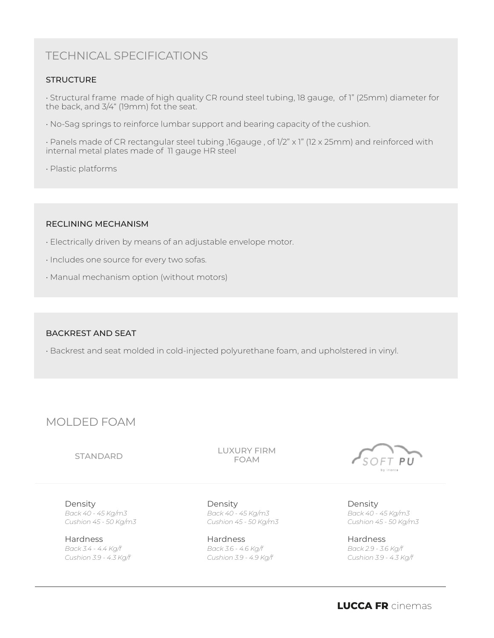# TECHNICAL SPECIFICATIONS

## **STRUCTURE**

• Structural frame made of high quality CR round steel tubing, 18 gauge, of 1" (25mm) diameter for the back, and 3/4" (19mm) fot the seat.

• No-Sag springs to reinforce lumbar support and bearing capacity of the cushion.

• Panels made of CR rectangular steel tubing ,16gauge , of 1/2" x 1" (12 x 25mm) and reinforced with internal metal plates made of 11 gauge HR steel

• Plastic platforms

#### RECLINING MECHANISM

- Electrically driven by means of an adjustable envelope motor.
- Includes one source for every two sofas.
- Manual mechanism option (without motors)

#### BACKREST AND SEAT

• Backrest and seat molded in cold-injected polyurethane foam, and upholstered in vinyl.

# MOLDED FOAM

#### STANDARD

LUXURY FIRM FOAM

Density *Back 40 - 45 Kg/m3 Cushion 45 - 50 Kg/m3*

**Hardness** *Back 3.4 - 4.4 Kg/f Cushion 3.9 - 4.3 Kg/f*

Density *Back 40 - 45 Kg/m3 Cushion 45 - 50 Kg/m3*

Hardness *Back 3.6 - 4.6 Kg/f Cushion 3.9 - 4.9 Kg/f*



Density *Back 40 - 45 Kg/m3 Cushion 45 - 50 Kg/m3*

Hardness *Back 2.9 - 3.6 Kg/f Cushion 3.9 - 4.3 Kg/f*